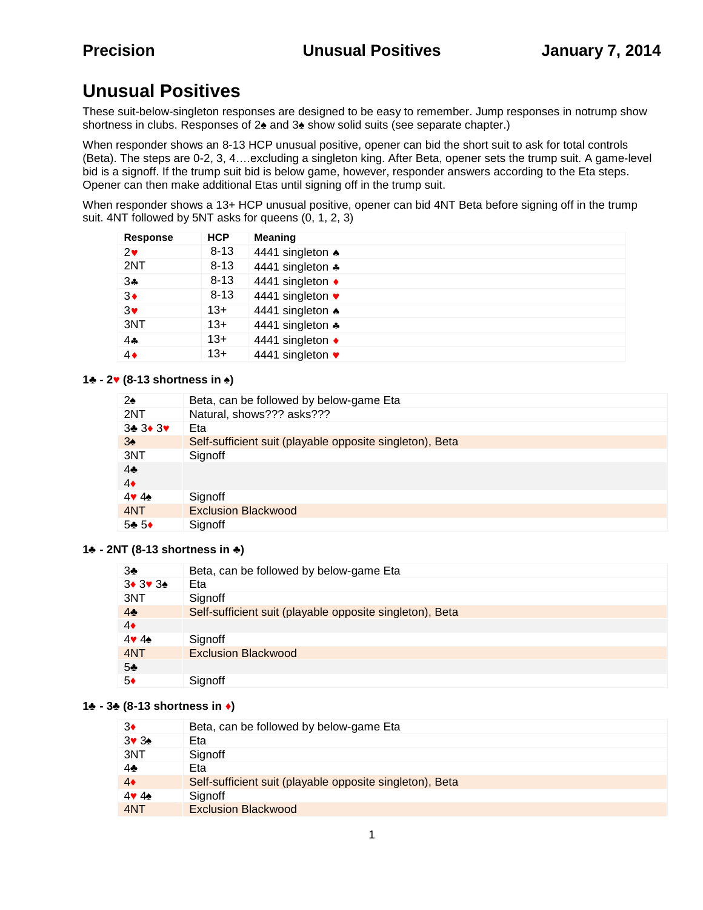# **Unusual Positives**

These suit-below-singleton responses are designed to be easy to remember. Jump responses in notrump show shortness in clubs. Responses of 2 and 3 show solid suits (see separate chapter.)

When responder shows an 8-13 HCP unusual positive, opener can bid the short suit to ask for total controls (Beta). The steps are 0-2, 3, 4….excluding a singleton king. After Beta, opener sets the trump suit. A game-level bid is a signoff. If the trump suit bid is below game, however, responder answers according to the Eta steps. Opener can then make additional Etas until signing off in the trump suit.

When responder shows a 13+ HCP unusual positive, opener can bid 4NT Beta before signing off in the trump suit. 4NT followed by 5NT asks for queens (0, 1, 2, 3)

| Response     | <b>HCP</b> | <b>Meaning</b>             |
|--------------|------------|----------------------------|
| $2\bullet$   | $8 - 13$   | 4441 singleton $\triangle$ |
| 2NT          | $8 - 13$   | 4441 singleton *           |
| $3\clubsuit$ | $8 - 13$   | 4441 singleton ♦           |
| $3\bullet$   | $8 - 13$   | 4441 singleton •           |
| $3\bullet$   | $13+$      | 4441 singleton $\triangle$ |
| 3NT          | $13+$      | 4441 singleton *           |
| $4 -$        | $13+$      | 4441 singleton ♦           |
| $4\bullet$   | $13+$      | 4441 singleton •           |

#### **1 - 2 (8-13 shortness in ♠)**

| 2              |                                                          |
|----------------|----------------------------------------------------------|
|                | Beta, can be followed by below-game Eta                  |
| 2NT            | Natural, shows??? asks???                                |
| 3 3 3          | Eta                                                      |
| 3              | Self-sufficient suit (playable opposite singleton), Beta |
| 3NT            | Signoff                                                  |
| $\overline{4}$ |                                                          |
| $\overline{4}$ |                                                          |
| 44             | Signoff                                                  |
| 4NT            | <b>Exclusion Blackwood</b>                               |
| 5 5            | Signoff                                                  |

#### **1 - 2NT (8-13 shortness in )**

| 3              | Beta, can be followed by below-game Eta                  |
|----------------|----------------------------------------------------------|
| 3 3 3          | Eta                                                      |
| 3NT            | Signoff                                                  |
| $\overline{4}$ | Self-sufficient suit (playable opposite singleton), Beta |
| $\overline{4}$ |                                                          |
| 4              | Signoff                                                  |
| 4NT            | <b>Exclusion Blackwood</b>                               |
| 5              |                                                          |
| 5              | Signoff                                                  |

#### **1 - 3♣ (8-13 shortness in )**

| 3              | Beta, can be followed by below-game Eta                  |
|----------------|----------------------------------------------------------|
| 3 3            | Eta                                                      |
| 3NT            | Signoff                                                  |
| $\overline{4}$ | Eta                                                      |
| $\overline{4}$ | Self-sufficient suit (playable opposite singleton), Beta |
| 44             | Signoff                                                  |
| 4NT            | <b>Exclusion Blackwood</b>                               |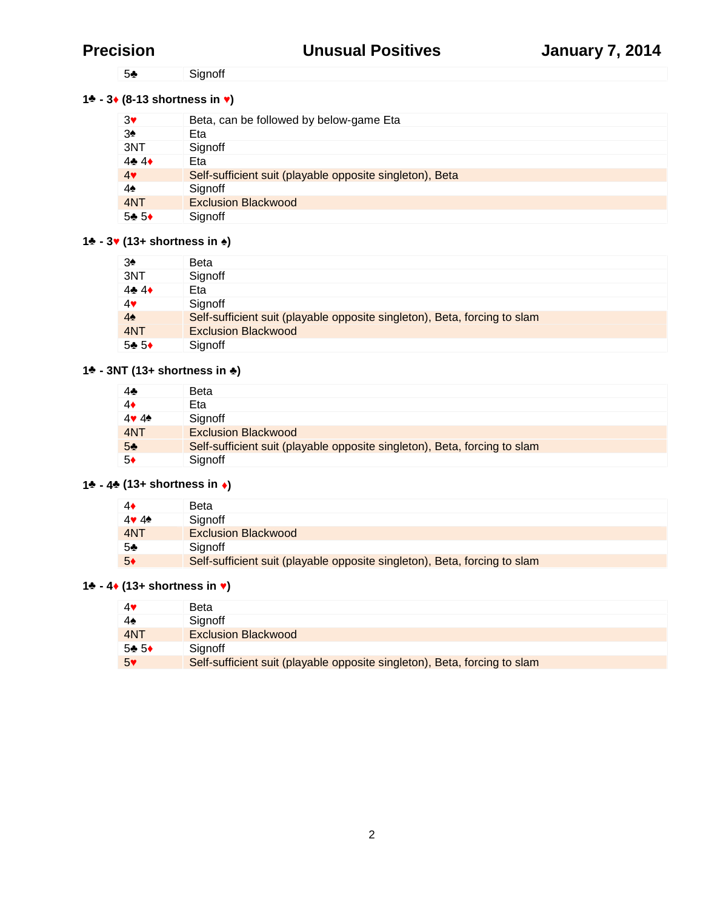Signoff

## **- 3 (8-13 shortness in )**

| 3              | Beta, can be followed by below-game Eta                  |
|----------------|----------------------------------------------------------|
| 3              | Eta                                                      |
| 3NT            | Signoff                                                  |
| 4 4            | Eta                                                      |
| $\overline{4}$ | Self-sufficient suit (playable opposite singleton), Beta |
| 4              | Signoff                                                  |
| 4NT            | <b>Exclusion Blackwood</b>                               |
| 55             | Signoff                                                  |

### **- 3 (13+ shortness in )**

|                | Beta                                                                      |
|----------------|---------------------------------------------------------------------------|
| 3NT            | Signoff                                                                   |
| 44             | Eta                                                                       |
| 4              | Signoff                                                                   |
| $\overline{4}$ | Self-sufficient suit (playable opposite singleton), Beta, forcing to slam |
| 4NT            | <b>Exclusion Blackwood</b>                                                |
| 55             | Signoff                                                                   |

## **- 3NT (13+ shortness in )**

|     | Beta                                                                      |
|-----|---------------------------------------------------------------------------|
|     | Eta                                                                       |
|     | Signoff                                                                   |
| 4NT | <b>Exclusion Blackwood</b>                                                |
|     | Self-sufficient suit (playable opposite singleton), Beta, forcing to slam |
|     | Signoff                                                                   |

## **- 4♣ (13+ shortness in )**

|     | Beta                                                                      |
|-----|---------------------------------------------------------------------------|
| 44  | Signoff                                                                   |
| 4NT | <b>Exclusion Blackwood</b>                                                |
|     | Sianoff                                                                   |
|     | Self-sufficient suit (playable opposite singleton), Beta, forcing to slam |

# **- 4 (13+ shortness in )**

|     | <b>Beta</b>                                                               |
|-----|---------------------------------------------------------------------------|
|     | Signoff                                                                   |
| 4NT | <b>Exclusion Blackwood</b>                                                |
| 5 5 | Sianoff                                                                   |
|     | Self-sufficient suit (playable opposite singleton), Beta, forcing to slam |